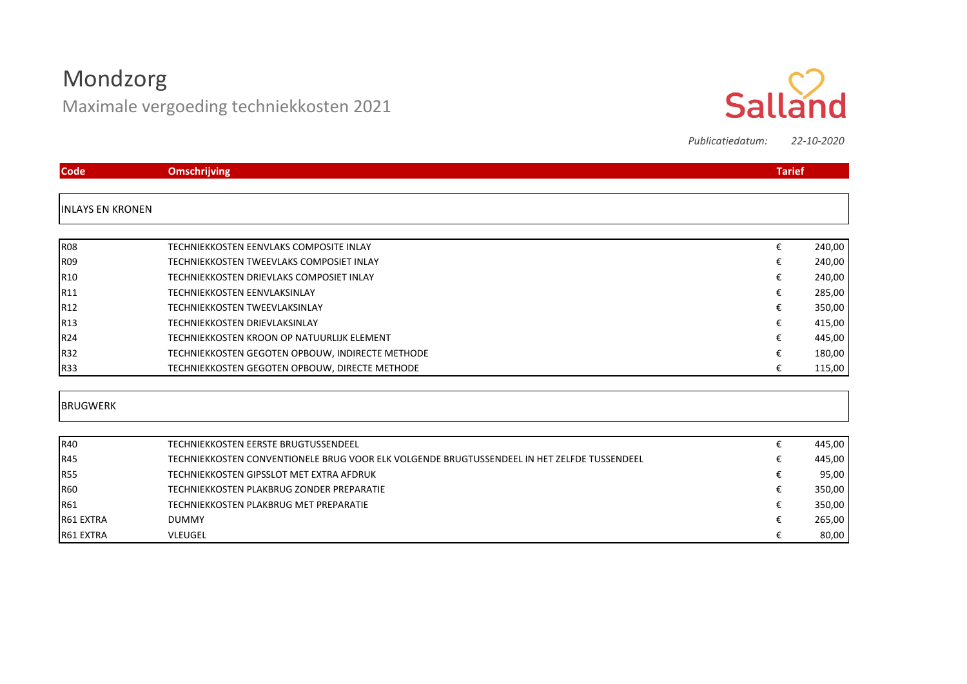# Mondzorg

Maximale vergoeding techniekkosten 2021



*Publicatiedatum: 22-10-2020*

| <b>Code</b>             | <b>Omschrijving</b>                                                                         |   | <b>Tarief</b> |
|-------------------------|---------------------------------------------------------------------------------------------|---|---------------|
| <b>INLAYS EN KRONEN</b> |                                                                                             |   |               |
|                         |                                                                                             |   |               |
| <b>R08</b>              | TECHNIEKKOSTEN EENVLAKS COMPOSITE INLAY                                                     | € | 240,00        |
| <b>R09</b>              | TECHNIEKKOSTEN TWEEVLAKS COMPOSIET INLAY                                                    | € | 240,00        |
| R <sub>10</sub>         | TECHNIEKKOSTEN DRIEVLAKS COMPOSIET INLAY                                                    | € | 240,00        |
| R11                     | TECHNIEKKOSTEN EENVLAKSINLAY                                                                | € | 285,00        |
| R12                     | <b>TECHNIEKKOSTEN TWEEVLAKSINLAY</b>                                                        | € | 350,00        |
| R13                     | TECHNIEKKOSTEN DRIEVLAKSINLAY                                                               | € | 415,00        |
| R24                     | TECHNIEKKOSTEN KROON OP NATUURLIJK ELEMENT                                                  | € | 445,00        |
| R32                     | TECHNIEKKOSTEN GEGOTEN OPBOUW, INDIRECTE METHODE                                            | € | 180,00        |
| <b>R33</b>              | TECHNIEKKOSTEN GEGOTEN OPBOUW, DIRECTE METHODE                                              | € | 115,00        |
| <b>BRUGWERK</b>         |                                                                                             |   |               |
| R40                     | TECHNIEKKOSTEN EERSTE BRUGTUSSENDEEL                                                        | € | 445,00        |
| R45                     | TECHNIEKKOSTEN CONVENTIONELE BRUG VOOR ELK VOLGENDE BRUGTUSSENDEEL IN HET ZELFDE TUSSENDEEL | € | 445,00        |
| <b>R55</b>              | TECHNIEKKOSTEN GIPSSLOT MET EXTRA AFDRUK                                                    | € | 95,00         |
| <b>R60</b>              | TECHNIEKKOSTEN PLAKBRUG ZONDER PREPARATIE                                                   | € | 350,00        |
| R61                     | TECHNIEKKOSTEN PLAKBRUG MET PREPARATIE                                                      | € | 350,00        |
| R61 EXTRA               | <b>DUMMY</b>                                                                                |   | 265,00        |
| R61 EXTRA               | <b>VLEUGEL</b>                                                                              | € | 80,00         |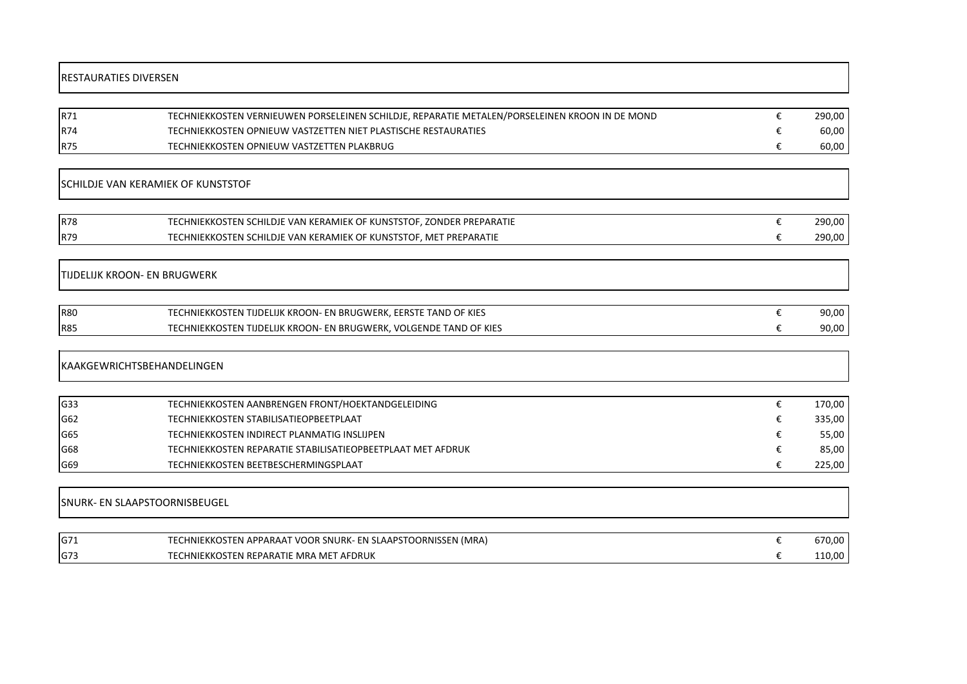### RESTAURATIES DIVERSEN

| R71        | TECHNIEKKOSTEN VERNIEUWEN PORSELEINEN SCHILDJE, REPARATIE METALEN/PORSELEINEN KROON IN DE MOND | 290,00  |
|------------|------------------------------------------------------------------------------------------------|---------|
| <b>R74</b> | TECHNIEKKOSTEN OPNIEUW VASTZETTEN NIET PLASTISCHE RESTAURATIES                                 | 60,00   |
| <b>R75</b> | TECHNIEKKOSTEN OPNIEUW VASTZETTEN PLAKBRUG                                                     | 60,00 l |

## SCHILDJE VAN KERAMIEK OF KUNSTSTOF

| <b>R78</b> | TECHNIEKKOSTEN SCHILDJE VAN KERAMIEK OF KUNSTSTOF, ZONDER PREPARATIE | 290.00 |
|------------|----------------------------------------------------------------------|--------|
| <b>R79</b> | TECHNIEKKOSTEN SCHILDJE VAN KERAMIEK OF KUNSTSTOF. MET PREPARATIE    | 290,00 |

## TIJDELIJK KROON- EN BRUGWERK

| <b>R80</b> | OF KIES<br>EERSTE<br>: KROON<br>EN BRUGWERK.<br>HNIEKKOSTI<br>LIJK<br>TAND 1<br>וש י   | 90,00 |
|------------|----------------------------------------------------------------------------------------|-------|
| <b>R85</b> | TAND OF KIES<br>. VOLGENDE<br>EN BRUGWERK.<br>: KROON-<br>HNIEKKOSTE<br>——————<br>LIJK | 90,00 |

#### KAAKGEWRICHTSBEHANDELINGEN

| G33 | TECHNIEKKOSTEN AANBRENGEN FRONT/HOEKTANDGELEIDING           | 170,00 |
|-----|-------------------------------------------------------------|--------|
| G62 | TECHNIEKKOSTEN STABILISATIEOPBEETPLAAT                      | 335,00 |
| G65 | TECHNIEKKOSTEN INDIRECT PLANMATIG INSLIJPEN                 | 55,00  |
| G68 | TECHNIEKKOSTEN REPARATIE STABILISATIEOPBEETPLAAT MET AFDRUK | 85,00  |
| G69 | TECHNIEKKOSTEN BEETBESCHERMINGSPLAAT                        | 225,00 |

# SNURK- EN SLAAPSTOORNISBEUGEL

| IG7: | (CHNIEKKOSTEN APPARAAT VOOR SNURK- EN SLAAPSTOORNISSEN (MRA)<br><b>TECH</b> | 670.00 |
|------|-----------------------------------------------------------------------------|--------|
| G73  | TECHNIEKKOSTEN REPARATIE MRA MET AFDRUK                                     | 110,00 |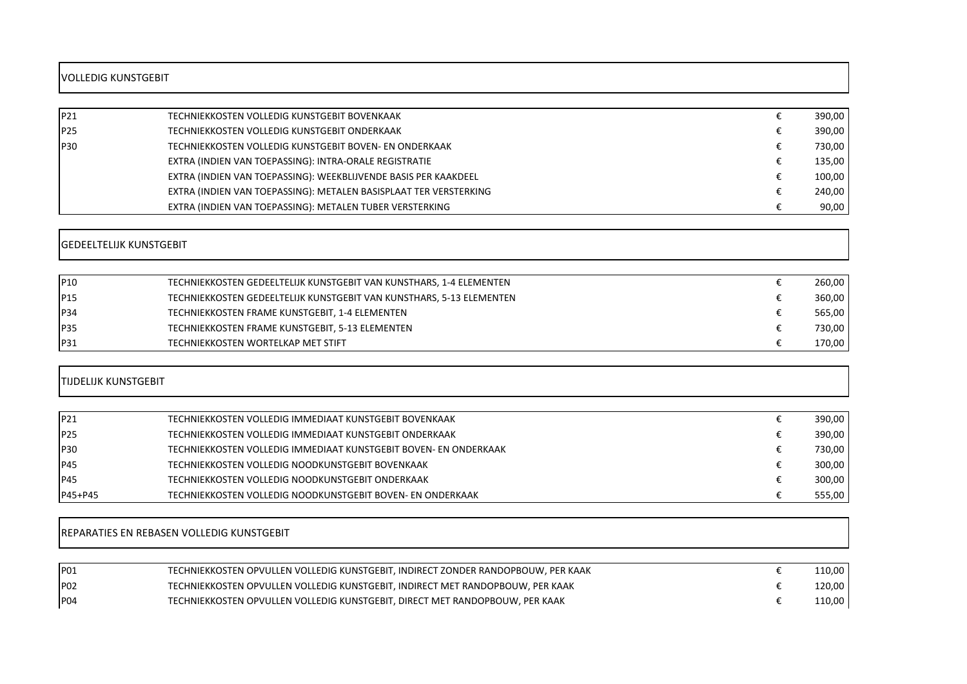# VOLLEDIG KUNSTGEBIT

| P <sub>21</sub> | TECHNIEKKOSTEN VOLLEDIG KUNSTGEBIT BOVENKAAK                      | 390,00 |
|-----------------|-------------------------------------------------------------------|--------|
|                 |                                                                   |        |
| P <sub>25</sub> | TECHNIEKKOSTEN VOLLEDIG KUNSTGEBIT ONDERKAAK                      | 390,00 |
| P30             | TECHNIEKKOSTEN VOLLEDIG KUNSTGEBIT BOVEN- EN ONDERKAAK            | 730,00 |
|                 | EXTRA (INDIEN VAN TOEPASSING): INTRA-ORALE REGISTRATIE            | 135,00 |
|                 | EXTRA (INDIEN VAN TOEPASSING): WEEKBLIJVENDE BASIS PER KAAKDEEL   | 100,00 |
|                 | EXTRA (INDIEN VAN TOEPASSING): METALEN BASISPLAAT TER VERSTERKING | 240,00 |
|                 | EXTRA (INDIEN VAN TOEPASSING): METALEN TUBER VERSTERKING          | 90,00  |

# GEDEELTELIJK KUNSTGEBIT

| P10             | TECHNIEKKOSTEN GEDEELTELIJK KUNSTGEBIT VAN KUNSTHARS, 1-4 ELEMENTEN  | 260,00 |
|-----------------|----------------------------------------------------------------------|--------|
| P <sub>15</sub> | TECHNIEKKOSTEN GEDEELTELIJK KUNSTGEBIT VAN KUNSTHARS, 5-13 ELEMENTEN | 360,00 |
| P <sub>34</sub> | TECHNIEKKOSTEN FRAME KUNSTGEBIT, 1-4 ELEMENTEN                       | 565,00 |
| <b>P35</b>      | TECHNIEKKOSTEN FRAME KUNSTGEBIT, 5-13 ELEMENTEN                      | 730,00 |
| P31             | TECHNIEKKOSTEN WORTELKAP MET STIFT                                   | 170,00 |

#### TIJDELIJK KUNSTGEBIT

| P <sub>21</sub> | TECHNIEKKOSTEN VOLLEDIG IMMEDIAAT KUNSTGEBIT BOVENKAAK           | 390,00 |
|-----------------|------------------------------------------------------------------|--------|
| P <sub>25</sub> | TECHNIEKKOSTEN VOLLEDIG IMMEDIAAT KUNSTGEBIT ONDERKAAK           | 390,00 |
| <b>P30</b>      | TECHNIEKKOSTEN VOLLEDIG IMMEDIAAT KUNSTGEBIT BOVEN- EN ONDERKAAK | 730,00 |
| <b>P45</b>      | TECHNIEKKOSTEN VOLLEDIG NOODKUNSTGEBIT BOVENKAAK                 | 300,00 |
| IP45            | TECHNIEKKOSTEN VOLLEDIG NOODKUNSTGEBIT ONDERKAAK                 | 300,00 |
| $IP45+P45$      | TECHNIEKKOSTEN VOLLEDIG NOODKUNSTGEBIT BOVEN- EN ONDERKAAK       | 555,00 |

# REPARATIES EN REBASEN VOLLEDIG KUNSTGEBIT

| P <sub>01</sub> | TECHNIEKKOSTEN OPVULLEN VOLLEDIG KUNSTGEBIT. INDIRECT ZONDER RANDOPBOUW. PER KAAK | ا 10,00°، |
|-----------------|-----------------------------------------------------------------------------------|-----------|
| P <sub>02</sub> | TECHNIEKKOSTEN OPVULLEN VOLLEDIG KUNSTGEBIT. INDIRECT MET RANDOPBOUW. PER KAAK    | 120,00    |
| P <sub>04</sub> | TECHNIEKKOSTEN OPVULLEN VOLLEDIG KUNSTGEBIT. DIRECT MET RANDOPBOUW. PER KAAK      | 110,00    |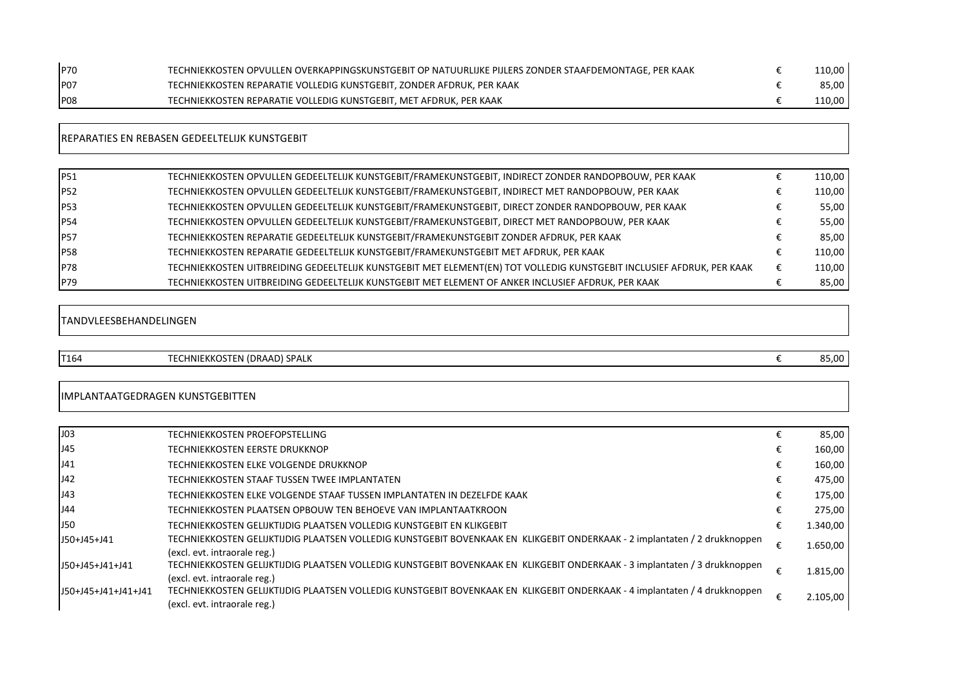| P70              | TECHNIEKKOSTEN OPVULLEN OVERKAPPINGSKUNSTGEBIT OP NATUURLIJKE PIJLERS ZONDER STAAFDEMONTAGE, PER KAAK | 110,00 l |
|------------------|-------------------------------------------------------------------------------------------------------|----------|
| IP <sub>07</sub> | TECHNIEKKOSTEN REPARATIE VOLLEDIG KUNSTGEBIT, ZONDER AFDRUK, PER KAAK                                 | 85,00    |
| <b>P08</b>       | TECHNIEKKOSTEN REPARATIE VOLLEDIG KUNSTGEBIT. MET AFDRUK. PER KAAK                                    | 110,00 l |

| $\frac{1}{2}$<br>$\sim$ $\sim$ $\sim$                 | $\overline{\phantom{a}}$ |
|-------------------------------------------------------|--------------------------|
| <b>IREPARATIES EN REBASEN GEDEELTELIJK KUNSTGEBIT</b> |                          |
|                                                       |                          |

| IP51        | TECHNIEKKOSTEN OPVULLEN GEDEELTELIJK KUNSTGEBIT/FRAMEKUNSTGEBIT, INDIRECT ZONDER RANDOPBOUW, PER KAAK                 |   | 110,00 |
|-------------|-----------------------------------------------------------------------------------------------------------------------|---|--------|
| IP52        | TECHNIEKKOSTEN OPVULLEN GEDEELTELIJK KUNSTGEBIT/FRAMEKUNSTGEBIT, INDIRECT MET RANDOPBOUW, PER KAAK                    |   | 110,00 |
| <b>P53</b>  | TECHNIEKKOSTEN OPVULLEN GEDEELTELIJK KUNSTGEBIT/FRAMEKUNSTGEBIT, DIRECT ZONDER RANDOPBOUW, PER KAAK                   |   | 55,00  |
| IP54        | TECHNIEKKOSTEN OPVULLEN GEDEELTELIJK KUNSTGEBIT/FRAMEKUNSTGEBIT, DIRECT MET RANDOPBOUW, PER KAAK                      |   | 55,00  |
| <b>P57</b>  | TECHNIEKKOSTEN REPARATIE GEDEELTELIJK KUNSTGEBIT/FRAMEKUNSTGEBIT ZONDER AFDRUK, PER KAAK                              |   | 85,00  |
| <b>IP58</b> | TECHNIEKKOSTEN REPARATIE GEDEELTELIJK KUNSTGEBIT/FRAMEKUNSTGEBIT MET AFDRUK, PER KAAK                                 |   | 110,00 |
| IP78        | TECHNIEKKOSTEN UITBREIDING GEDEELTELIJK KUNSTGEBIT MET ELEMENT(EN) TOT VOLLEDIG KUNSTGEBIT INCLUSIEF AFDRUK, PER KAAK | € | 110,00 |
| IP79        | TECHNIEKKOSTEN UITBREIDING GEDEELTELIJK KUNSTGEBIT MET ELEMENT OF ANKER INCLUSIEF AFDRUK. PER KAAK                    |   | 85,00  |

# TANDVLEESBEHANDELINGEN

T164 TECHNIEKKOSTEN (DRAAD) SPALK **€** 85,00

## IMPLANTAATGEDRAGEN KUNSTGEBITTEN

| J03                 | TECHNIEKKOSTEN PROEFOPSTELLING                                                                                                                            |   | 85,00    |
|---------------------|-----------------------------------------------------------------------------------------------------------------------------------------------------------|---|----------|
| J45                 | TECHNIEKKOSTEN EERSTE DRUKKNOP                                                                                                                            |   | 160,00   |
| J41                 | TECHNIEKKOSTEN ELKE VOLGENDE DRUKKNOP                                                                                                                     |   | 160,00   |
| J42                 | TECHNIEKKOSTEN STAAF TUSSEN TWEE IMPLANTATEN                                                                                                              |   | 475,00   |
| J43                 | TECHNIEKKOSTEN ELKE VOLGENDE STAAF TUSSEN IMPLANTATEN IN DEZELFDE KAAK                                                                                    | € | 175,00   |
| J44                 | TECHNIEKKOSTEN PLAATSEN OPBOUW TEN BEHOEVE VAN IMPLANTAATKROON                                                                                            | € | 275,00   |
| <b>J50</b>          | TECHNIEKKOSTEN GELIJKTIJDIG PLAATSEN VOLLEDIG KUNSTGEBIT EN KLIKGEBIT                                                                                     | € | 1.340,00 |
| J50+J45+J41         | TECHNIEKKOSTEN GELIJKTIJDIG PLAATSEN VOLLEDIG KUNSTGEBIT BOVENKAAK EN KLIKGEBIT ONDERKAAK - 2 implantaten / 2 drukknoppen<br>(excl. evt. intraorale reg.) | € | 1.650,00 |
| J50+J45+J41+J41     | TECHNIEKKOSTEN GELIJKTIJDIG PLAATSEN VOLLEDIG KUNSTGEBIT BOVENKAAK EN KLIKGEBIT ONDERKAAK - 3 implantaten / 3 drukknoppen<br>(excl. evt. intraorale reg.) | € | 1.815,00 |
| J50+J45+J41+J41+J41 | TECHNIEKKOSTEN GELIJKTIJDIG PLAATSEN VOLLEDIG KUNSTGEBIT BOVENKAAK EN KLIKGEBIT ONDERKAAK - 4 implantaten / 4 drukknoppen<br>(excl. evt. intraorale reg.) | € | 2.105,00 |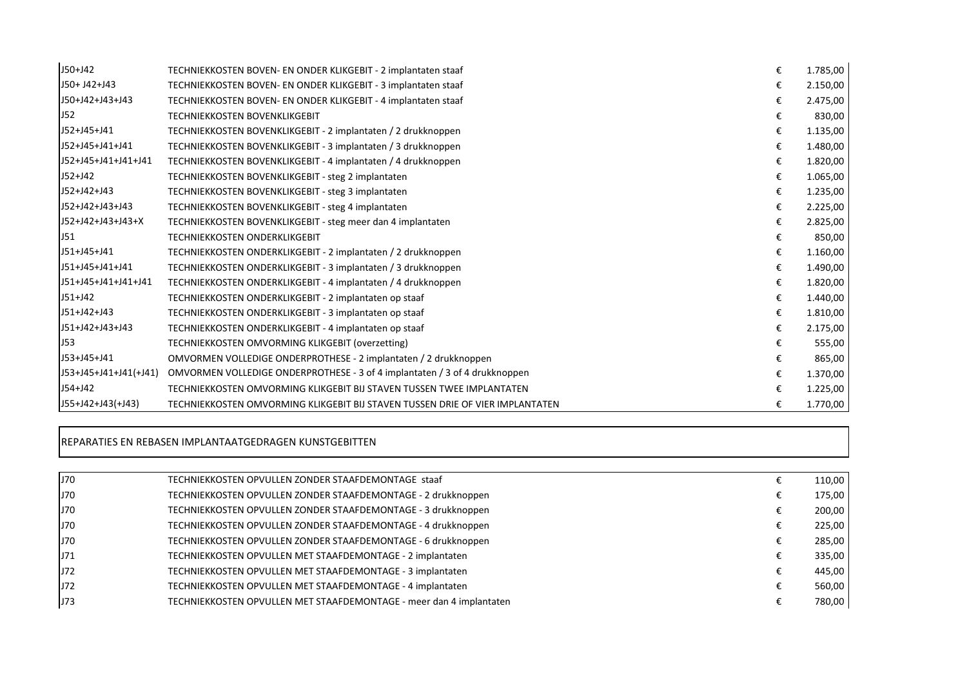| $J50+J42$               | TECHNIEKKOSTEN BOVEN- EN ONDER KLIKGEBIT - 2 implantaten staaf                | € | 1.785,00 |
|-------------------------|-------------------------------------------------------------------------------|---|----------|
| J50+ J42+J43            | TECHNIEKKOSTEN BOVEN- EN ONDER KLIKGEBIT - 3 implantaten staaf                | € | 2.150,00 |
| J50+J42+J43+J43         | TECHNIEKKOSTEN BOVEN- EN ONDER KLIKGEBIT - 4 implantaten staaf                | € | 2.475,00 |
| J52                     | <b>TECHNIEKKOSTEN BOVENKLIKGEBIT</b>                                          | € | 830,00   |
| J52+J45+J41             | TECHNIEKKOSTEN BOVENKLIKGEBIT - 2 implantaten / 2 drukknoppen                 | € | 1.135,00 |
| J52+J45+J41+J41         | TECHNIEKKOSTEN BOVENKLIKGEBIT - 3 implantaten / 3 drukknoppen                 | € | 1.480,00 |
| J52+J45+J41+J41+J41     | TECHNIEKKOSTEN BOVENKLIKGEBIT - 4 implantaten / 4 drukknoppen                 | € | 1.820,00 |
| $J52+J42$               | TECHNIEKKOSTEN BOVENKLIKGEBIT - steg 2 implantaten                            | € | 1.065,00 |
| J52+J42+J43             | TECHNIEKKOSTEN BOVENKLIKGEBIT - steg 3 implantaten                            | € | 1.235,00 |
| J52+J42+J43+J43         | TECHNIEKKOSTEN BOVENKLIKGEBIT - steg 4 implantaten                            | € | 2.225,00 |
| J52+J42+J43+J43+X       | TECHNIEKKOSTEN BOVENKLIKGEBIT - steg meer dan 4 implantaten                   | € | 2.825,00 |
| J51                     | <b>TECHNIEKKOSTEN ONDERKLIKGEBIT</b>                                          | € | 850,00   |
| J51+J45+J41             | TECHNIEKKOSTEN ONDERKLIKGEBIT - 2 implantaten / 2 drukknoppen                 | € | 1.160,00 |
| J51+J45+J41+J41         | TECHNIEKKOSTEN ONDERKLIKGEBIT - 3 implantaten / 3 drukknoppen                 | € | 1.490,00 |
| J51+J45+J41+J41+J41     | TECHNIEKKOSTEN ONDERKLIKGEBIT - 4 implantaten / 4 drukknoppen                 | € | 1.820,00 |
| $J51+J42$               | TECHNIEKKOSTEN ONDERKLIKGEBIT - 2 implantaten op staaf                        | € | 1.440,00 |
| J51+J42+J43             | TECHNIEKKOSTEN ONDERKLIKGEBIT - 3 implantaten op staaf                        | € | 1.810,00 |
| J51+J42+J43+J43         | TECHNIEKKOSTEN ONDERKLIKGEBIT - 4 implantaten op staaf                        | € | 2.175,00 |
| J53                     | TECHNIEKKOSTEN OMVORMING KLIKGEBIT (overzetting)                              | € | 555,00   |
| J53+J45+J41             | OMVORMEN VOLLEDIGE ONDERPROTHESE - 2 implantaten / 2 drukknoppen              | € | 865,00   |
| $J53+J45+J41+J41(+J41)$ | OMVORMEN VOLLEDIGE ONDERPROTHESE - 3 of 4 implantaten / 3 of 4 drukknoppen    | € | 1.370,00 |
| $J54 + J42$             | TECHNIEKKOSTEN OMVORMING KLIKGEBIT BIJ STAVEN TUSSEN TWEE IMPLANTATEN         | € | 1.225,00 |
| $J55+J42+J43(+J43)$     | TECHNIEKKOSTEN OMVORMING KLIKGEBIT BIJ STAVEN TUSSEN DRIE OF VIER IMPLANTATEN | € | 1.770,00 |

#### REPARATIES EN REBASEN IMPLANTAATGEDRAGEN KUNSTGEBITTEN

| J70 | TECHNIEKKOSTEN OPVULLEN ZONDER STAAFDEMONTAGE staaf                 | 110,00 |
|-----|---------------------------------------------------------------------|--------|
| J70 | TECHNIEKKOSTEN OPVULLEN ZONDER STAAFDEMONTAGE - 2 drukknoppen       | 175,00 |
| J70 | TECHNIEKKOSTEN OPVULLEN ZONDER STAAFDEMONTAGE - 3 drukknoppen       | 200,00 |
| J70 | TECHNIEKKOSTEN OPVULLEN ZONDER STAAFDEMONTAGE - 4 drukknoppen       | 225,00 |
| J70 | TECHNIEKKOSTEN OPVULLEN ZONDER STAAFDEMONTAGE - 6 drukknoppen       | 285,00 |
| J71 | TECHNIEKKOSTEN OPVULLEN MET STAAFDEMONTAGE - 2 implantaten          | 335,00 |
| J72 | TECHNIEKKOSTEN OPVULLEN MET STAAFDEMONTAGE - 3 implantaten          | 445,00 |
| J72 | TECHNIEKKOSTEN OPVULLEN MET STAAFDEMONTAGE - 4 implantaten          | 560,00 |
| J73 | TECHNIEKKOSTEN OPVULLEN MET STAAFDEMONTAGE - meer dan 4 implantaten | 780,00 |